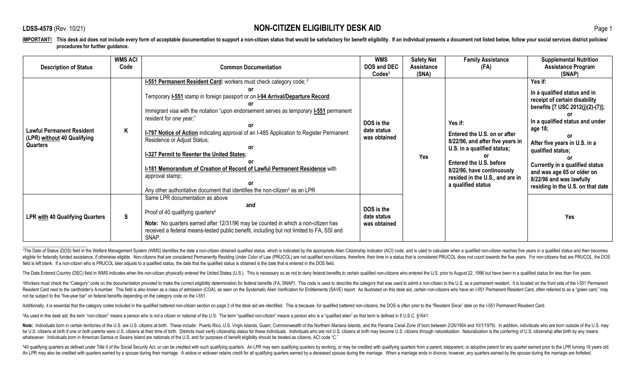\_\_\_\_\_\_\_\_\_\_\_\_\_\_\_\_\_\_\_\_\_\_\_\_\_\_\_\_

| <b>Description of Status</b>                                                | <b>WMS ACI</b><br>Code | <b>Common Documentation</b>                                                                                                                                                                                                                                                                                                                                                                                                                                                                                                                                                                                                                                 | <b>WMS</b><br><b>DOS and DEC</b><br>Codes <sup>1</sup> | <b>Safety Net</b><br><b>Assistance</b><br>(SNA) | <b>Family Assistance</b><br>(FA)                                                                                                                                                                                                    | <b>Supplemental Nutrition</b><br><b>Assistance Program</b><br>(SNAP)                                                                                                                                                                                                                                                                               |
|-----------------------------------------------------------------------------|------------------------|-------------------------------------------------------------------------------------------------------------------------------------------------------------------------------------------------------------------------------------------------------------------------------------------------------------------------------------------------------------------------------------------------------------------------------------------------------------------------------------------------------------------------------------------------------------------------------------------------------------------------------------------------------------|--------------------------------------------------------|-------------------------------------------------|-------------------------------------------------------------------------------------------------------------------------------------------------------------------------------------------------------------------------------------|----------------------------------------------------------------------------------------------------------------------------------------------------------------------------------------------------------------------------------------------------------------------------------------------------------------------------------------------------|
| <b>Lawful Permanent Resident</b><br>(LPR) without 40 Qualifying<br>Quarters | Κ                      | 1-551 Permanent Resident Card: workers must check category code; 2<br>Temporary I-551 stamp in foreign passport or on I-94 Arrival/Departure Record;<br>Immigrant visa with the notation "upon endorsement serves as temporary <b>I-551</b> permanent<br>resident for one year;"<br><b>I-797 Notice of Action</b> indicating approval of an I-485 Application to Register Permanent<br>Residence or Adjust Status;<br>I-327 Permit to Reenter the United States;<br>I-181 Memorandum of Creation of Record of Lawful Permanent Residence with<br>approval stamp;<br>Any other authoritative document that identifies the non-citizen <sup>3</sup> as an LPR | DOS is the<br>date status<br>was obtained              | Yes                                             | Yes if:<br>Entered the U.S. on or after<br>8/22/96, and after five years in<br>U.S. in a qualified status;<br><b>Entered the U.S. before</b><br>8/22/96, have continuously<br>resided in the U.S., and are in<br>a qualified status | Yes if:<br>In a qualified status and in<br>receipt of certain disability<br>benefits [7 USC 2012(j)(2)-(7)];<br>In a qualified status and under<br>age 18;<br>After five years in U.S. in a<br>qualified status;<br>Currently in a qualified status<br>and was age 65 or older on<br>8/22/96 and was lawfully<br>residing in the U.S. on that date |
| <b>LPR with 40 Qualifying Quarters</b>                                      | $\mathbf{s}$           | Same LPR documentation as above<br>and<br>Proof of 40 qualifying quarters <sup>4</sup><br>Note: No quarters earned after 12/31/96 may be counted in which a non-citizen has<br>received a federal means-tested public benefit, including but not limited to FA, SSI and<br>SNAP.                                                                                                                                                                                                                                                                                                                                                                            | DOS is the<br>date status<br>was obtained              |                                                 |                                                                                                                                                                                                                                     | Yes                                                                                                                                                                                                                                                                                                                                                |

1The Date of Status (DOS) field in the Welfare Management System (WMS) identifies the date a non-citizen obtained qualified status, which is indicated by the appropriate Alien Citizenship Indicator (ACI) code, and is used eligible for federally funded assistance, if otherwise eligible. Non-citizens that are considered Permanently Residing Under Color of Law (PRUCOL) are not qualified non-citizens, therefore, their time in a status that is c field is left blank. If a non-citizen who is PRUCOL later adjusts to a qualified status, the date that the qualified status is obtained is the date that is entered in the DOS field.

The Date Entered Country (DEC) field in WMS indicates when the non-citizen physically entered the United States (U.S.). This is necessary so as not to deny federal benefits to certain qualified non-citizens who entered the

<sup>2</sup>Workers must check the "Category" code on the documentation provided to make the correct eligibility determination for federal benefits (FA, SNAP). This code is used to describe the category that was used to admit a non Resident Card next to the cardholder's A-number. This field is also known as a class of admission (COA), as seen on the Systematic Alien Verification for Entitlements (SAVE) report. As illustrated on this desk aid, certain not be subject to the "five-year bar" on federal benefits depending on the category code on the I-551.

Additionally, it is essential that the category codes included in the qualified battered non-citizen section on page 3 of the desk aid are identified. This is because, for qualified battered non-citizens, the DOS is often

<sup>3</sup>As used in this desk aid, the term "non-citizen" means a person who is not a citizen or national of the U.S. The term "qualified non-citizen" means a person who is a "qualified alien" as that term is defined in 8 U.S.C.

Note: Individuals born in certain territories of the U.S. are U.S. citizens at birth. These include: Puerto Rico. U.S. Virgin Islands. Guam. Commonwealth of the Northern Mariana Islands, and the Panama Canal Zone (if born be U.S. citizens at birth if one or both parents were U.S. citizens at their time of birth. Districts must verify citizenship status for these individuals. Individuals who are not U.S. citizens at birth may become U.S. cit whatsoever. Individuals born in American Samoa or Swains Island are nationals of the U.S. and for purposes of benefit eligibility should be treated as citizens, ACI code "C."

440 qualifying quarters as defined under Title II of the Social Security Act, or can be credited with such qualifying quarters. An LPR may earn qualifying quarters by working, or may be credited with qualifying quarters fr An LPR may also be credited with quarters earned by a spouse during their marriage. A widow or widower retains credit for all qualifying quarters earned by a deceased spouse during the marriage. When a marriage ends in div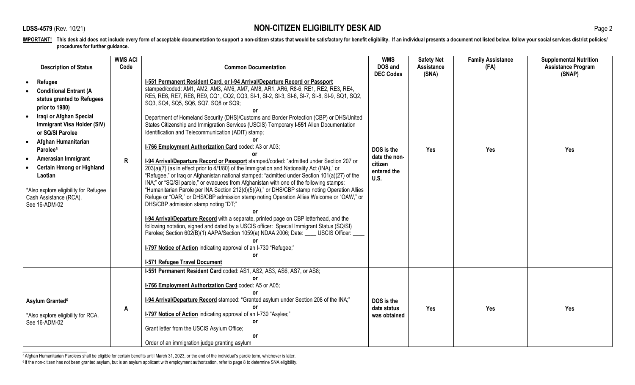| <b>Description of Status</b>                                                                                                                                                                                                                                                                                                                                                                                                               | <b>WMS ACI</b><br>Code | <b>Common Documentation</b>                                                                                                                                                                                                                                                                                                                                                                                                                                                                                                                                                                                                                                                                                                                                                                                                                                                                                                                                                                                                                                                                                                                                                                                                                                                                                                                                                                                                                                                                                                                                                                                                                                | <b>WMS</b><br>DOS and                                                             | <b>Safety Net</b><br><b>Assistance</b> | <b>Family Assistance</b><br>(FA) | <b>Supplemental Nutrition</b><br><b>Assistance Program</b> |
|--------------------------------------------------------------------------------------------------------------------------------------------------------------------------------------------------------------------------------------------------------------------------------------------------------------------------------------------------------------------------------------------------------------------------------------------|------------------------|------------------------------------------------------------------------------------------------------------------------------------------------------------------------------------------------------------------------------------------------------------------------------------------------------------------------------------------------------------------------------------------------------------------------------------------------------------------------------------------------------------------------------------------------------------------------------------------------------------------------------------------------------------------------------------------------------------------------------------------------------------------------------------------------------------------------------------------------------------------------------------------------------------------------------------------------------------------------------------------------------------------------------------------------------------------------------------------------------------------------------------------------------------------------------------------------------------------------------------------------------------------------------------------------------------------------------------------------------------------------------------------------------------------------------------------------------------------------------------------------------------------------------------------------------------------------------------------------------------------------------------------------------------|-----------------------------------------------------------------------------------|----------------------------------------|----------------------------------|------------------------------------------------------------|
| Refugee<br>$\bullet$<br><b>Conditional Entrant (A</b><br>status granted to Refugees<br>prior to 1980)<br>Iraqi or Afghan Special<br>$\bullet$<br><b>Immigrant Visa Holder (SIV)</b><br>or SQ/SI Parolee<br>Afghan Humanitarian<br>$\bullet$<br>Parolee <sup>5</sup><br>Amerasian Immigrant<br>$\bullet$<br><b>Certain Hmong or Highland</b><br>Laotian<br>*Also explore eligibility for Refugee<br>Cash Assistance (RCA).<br>See 16-ADM-02 | R                      | I-551 Permanent Resident Card, or I-94 Arrival/Departure Record or Passport<br>stamped/coded: AM1, AM2, AM3, AM6, AM7, AM8, AR1, AR6, R8-6, RE1, RE2, RE3, RE4,<br>RE5, RE6, RE7, RE8, RE9, CQ1, CQ2, CQ3, SI-1, SI-2, SI-3, SI-6, SI-7, SI-8, SI-9, SQ1, SQ2,<br>SQ3, SQ4, SQ5, SQ6, SQ7, SQ8 or SQ9;<br>or<br>Department of Homeland Security (DHS)/Customs and Border Protection (CBP) or DHS/United<br>States Citizenship and Immigration Services (USCIS) Temporary I-551 Alien Documentation<br>Identification and Telecommunication (ADIT) stamp;<br>٥r<br>I-766 Employment Authorization Card coded: A3 or A03;<br>I-94 Arrival/Departure Record or Passport stamped/coded: "admitted under Section 207 or<br>203(a)(7) (as in effect prior to 4/1/80) of the Immigration and Nationality Act (INA)," or<br>"Refugee," or Iraq or Afghanistan national stamped: "admitted under Section 101(a)(27) of the<br>INA;" or "SQ/SI parole," or evacuees from Afghanistan with one of the following stamps:<br>"Humanitarian Parole per INA Section 212(d)(5)(A)," or DHS/CBP stamp noting Operation Allies<br>Refuge or "OAR," or DHS/CBP admission stamp noting Operation Allies Welcome or "OAW," or<br>DHS/CBP admission stamp noting "DT;"<br>I-94 Arrival/Departure Record with a separate, printed page on CBP letterhead, and the<br>following notation, signed and dated by a USCIS officer: Special Immigrant Status (SQ/SI)<br>Parolee; Section 602(B)(1) AAPA/Section 1059(a) NDAA 2006; Date: USCIS Officer:<br>o۳<br><b>I-797 Notice of Action</b> indicating approval of an I-730 "Refugee;"<br>or<br><b>I-571 Refugee Travel Document</b> | <b>DEC Codes</b><br>DOS is the<br>date the non-<br>citizen<br>entered the<br>U.S. | (SNA)<br>Yes                           | Yes                              | (SNAP)<br>Yes                                              |
| Asylum Granted <sup>6</sup><br>*Also explore eligibility for RCA.<br>See 16-ADM-02                                                                                                                                                                                                                                                                                                                                                         | A                      | I-551 Permanent Resident Card coded: AS1, AS2, AS3, AS6, AS7, or AS8;<br>٥r<br>I-766 Employment Authorization Card coded: A5 or A05;<br>I-94 Arrival/Departure Record stamped: "Granted asylum under Section 208 of the INA;"<br>I-797 Notice of Action indicating approval of an I-730 "Asylee;"<br>or<br>Grant letter from the USCIS Asylum Office;<br><b>or</b><br>Order of an immigration judge granting asylum                                                                                                                                                                                                                                                                                                                                                                                                                                                                                                                                                                                                                                                                                                                                                                                                                                                                                                                                                                                                                                                                                                                                                                                                                                        | DOS is the<br>date status<br>was obtained                                         | Yes                                    | Yes                              | Yes                                                        |

\_\_\_\_\_\_\_\_\_\_\_\_\_\_\_\_\_\_\_\_\_\_\_\_\_\_\_\_ 5 Afghan Humanitarian Parolees shall be eligible for certain benefits until March 31, 2023, or the end of the individual's parole term, whichever is later. 6 If the non-citizen has not been granted asylum, but is an asylum applicant with employment authorization, refer to page 8 to determine SNA eligibility.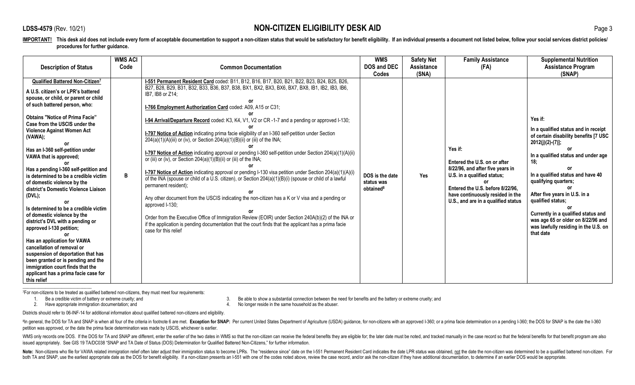| <b>Description of Status</b>                                                                                                                                                                                                                                                                                                                                                                                                                                                                                                                                                                                                                                                                                                                                                                                                                                                    | <b>WMS ACI</b><br>Code | <b>Common Documentation</b>                                                                                                                                                                                                                                                                                                                                                                                                                                                                                                                                                                                                                                                                                                                                                                                                                                                                                                                                                                                                                                                                                                                                                                                                                                                                                                                                          | <b>WMS</b><br><b>DOS and DEC</b><br>Codes              | <b>Safety Net</b><br><b>Assistance</b><br>(SNA) | <b>Family Assistance</b><br>(FA)                                                                                                                                                                                          | <b>Supplemental Nutrition</b><br><b>Assistance Program</b><br>(SNAP)                                                                                                                                                                                                                                                                                                                                                                 |
|---------------------------------------------------------------------------------------------------------------------------------------------------------------------------------------------------------------------------------------------------------------------------------------------------------------------------------------------------------------------------------------------------------------------------------------------------------------------------------------------------------------------------------------------------------------------------------------------------------------------------------------------------------------------------------------------------------------------------------------------------------------------------------------------------------------------------------------------------------------------------------|------------------------|----------------------------------------------------------------------------------------------------------------------------------------------------------------------------------------------------------------------------------------------------------------------------------------------------------------------------------------------------------------------------------------------------------------------------------------------------------------------------------------------------------------------------------------------------------------------------------------------------------------------------------------------------------------------------------------------------------------------------------------------------------------------------------------------------------------------------------------------------------------------------------------------------------------------------------------------------------------------------------------------------------------------------------------------------------------------------------------------------------------------------------------------------------------------------------------------------------------------------------------------------------------------------------------------------------------------------------------------------------------------|--------------------------------------------------------|-------------------------------------------------|---------------------------------------------------------------------------------------------------------------------------------------------------------------------------------------------------------------------------|--------------------------------------------------------------------------------------------------------------------------------------------------------------------------------------------------------------------------------------------------------------------------------------------------------------------------------------------------------------------------------------------------------------------------------------|
| Qualified Battered Non-Citizen7<br>A U.S. citizen's or LPR's battered<br>spouse, or child, or parent or child<br>of such battered person, who:<br><b>Obtains "Notice of Prima Facie"</b><br>Case from the USCIS under the<br>Violence Against Women Act<br>(VAWA);<br>Has an I-360 self-petition under<br>VAWA that is approved;<br>Has a pending I-360 self-petition and<br>is determined to be a credible victim<br>of domestic violence by the<br>district's Domestic Violence Liaison<br>(DVL);<br>Is determined to be a credible victim<br>of domestic violence by the<br>district's DVL with a pending or<br>approved I-130 petition;<br>Has an application for VAWA<br>cancellation of removal or<br>suspension of deportation that has<br>been granted or is pending and the<br>immigration court finds that the<br>applicant has a prima facie case for<br>this relief | B                      | I-551 Permanent Resident Card coded: B11, B12, B16, B17, B20, B21, B22, B23, B24, B25, B26,<br>B27, B28, B29, B31, B32, B33, B36, B37, B38, BX1, BX2, BX3, BX6, BX7, BX8, IB1, IB2, IB3, IB6,<br>IB7, IB8 or Z14;<br>I-766 Employment Authorization Card coded: A09, A15 or C31;<br>I-94 Arrival/Departure Record coded: K3, K4, V1, V2 or CR-1-7 and a pending or approved I-130;<br>I-797 Notice of Action indicating prima facie eligibility of an I-360 self-petition under Section<br>204(a)(1)(A)(iii) or (iv), or Section 204(a)(1)(B)(ii) or (iii) of the INA;<br>I-797 Notice of Action indicating approval or pending I-360 self-petition under Section 204(a)(1)(A)(ii)<br>or (iii) or (iv), or Section 204(a)(1)(B)(ii) or (iii) of the INA;<br>I-797 Notice of Action indicating approval or pending I-130 visa petition under Section 204(a)(1)(A)(i)<br>of the INA (spouse or child of a U.S. citizen), or Section 204(a)(1)(B)(i) (spouse or child of a lawful<br>permanent resident);<br>Any other document from the USCIS indicating the non-citizen has a K or V visa and a pending or<br>approved I-130;<br>Order from the Executive Office of Immigration Review (EOIR) under Section 240A(b)(2) of the INA or<br>if the application is pending documentation that the court finds that the applicant has a prima facie<br>case for this relief | DOS is the date<br>status was<br>obtained <sup>8</sup> | Yes                                             | Yes if:<br>Entered the U.S. on or after<br>8/22/96, and after five years in<br>U.S. in a qualified status;<br>Entered the U.S. before 8/22/96,<br>have continuously resided in the<br>U.S., and are in a qualified status | Yes if:<br>In a qualified status and in receipt<br>of certain disability benefits [7 USC<br>$2012(j)(2)-(7)$ ];<br>or<br>In a qualified status and under age<br>18:<br>In a qualified status and have 40<br>qualifying quarters;<br>0r<br>After five years in U.S. in a<br>qualified status;<br>0r<br>Currently in a qualified status and<br>was age 65 or older on 8/22/96 and<br>was lawfully residing in the U.S. on<br>that date |

 $<sup>7</sup>For non-citizers to be treated as qualified batteries on or-citizers, they must meet four requirements: 1. Be a credible victim of battery or extremecruelt. and <sup>7</sup>$ </sup>

1. Be a credible victim of battery or extreme cruelty; and <br>2. Have appropriate immigration documentation; and <br>2. Have appropriate immigration documentation; and **1. Interview 1. A.** No longer reside in the same household

4. No longer reside in the same household as the abuser.

Districts should refer to 06-INF-14 for additional information about qualified battered non-citizens and eligibility.

<sup>8</sup>In general, the DOS for TA and SNAP is when all four of the criteria in footnote 6 are met. Exception for SNAP: Per current United States Department of Agriculture (USDA) guidance, for non-citizens with an approved I-36 petition was approved, or the date the prima facie determination was made by USCIS, whichever is earlier.

WMS only records one DOS. If the DOS for TA and SNAP are different, enter the earlier of the two dates in WMS so that the non-citizen can receive the federal benefits they are eligible for; the later date must be noted, an issued appropriately. See GIS 19 TA/DC038 "SNAP and TA Date of Status (DOS) Determination for Qualified Battered Non-Citizens," for further information.

Note: Non-citizens who file for VAWA related immigration relief often later adjust their immigration status to become LPRs. The "residence since" date on the 1-551 Permanent Resident Card indicates the date LPR status was both TA and SNAP, use the earliest appropriate date as the DOS for benefit eligibility. If a non-citizen presents an I-551 with one of the codes noted above, review the case record, and/or ask the non-citizen if they have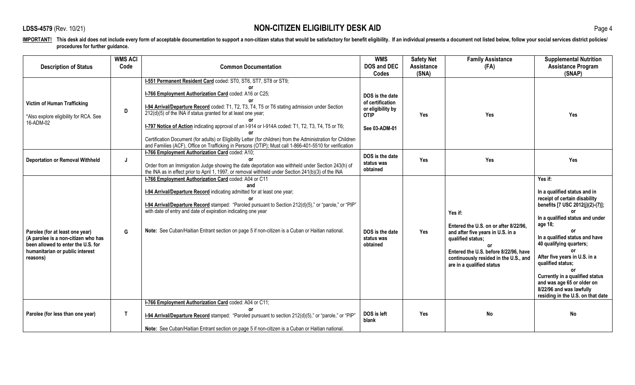|                                                                                                                                                             | <b>WMS ACI</b> |                                                                                                                                                                                                                                                                                                                                                                                                                                                                                                                                                                                                                             | <b>WMS</b>                                                                               | <b>Safety Net</b>          | <b>Family Assistance</b>                                                                                                                                                                                                        | <b>Supplemental Nutrition</b>                                                                                                                                                                                                                                                                                                                                                                                               |
|-------------------------------------------------------------------------------------------------------------------------------------------------------------|----------------|-----------------------------------------------------------------------------------------------------------------------------------------------------------------------------------------------------------------------------------------------------------------------------------------------------------------------------------------------------------------------------------------------------------------------------------------------------------------------------------------------------------------------------------------------------------------------------------------------------------------------------|------------------------------------------------------------------------------------------|----------------------------|---------------------------------------------------------------------------------------------------------------------------------------------------------------------------------------------------------------------------------|-----------------------------------------------------------------------------------------------------------------------------------------------------------------------------------------------------------------------------------------------------------------------------------------------------------------------------------------------------------------------------------------------------------------------------|
| <b>Description of Status</b>                                                                                                                                | Code           | <b>Common Documentation</b>                                                                                                                                                                                                                                                                                                                                                                                                                                                                                                                                                                                                 | <b>DOS and DEC</b><br><b>Codes</b>                                                       | <b>Assistance</b><br>(SNA) | (FA)                                                                                                                                                                                                                            | <b>Assistance Program</b><br>(SNAP)                                                                                                                                                                                                                                                                                                                                                                                         |
| <b>Victim of Human Trafficking</b><br>*Also explore eligibility for RCA. See<br>16-ADM-02                                                                   | D              | I-551 Permanent Resident Card coded: ST0, ST6, ST7, ST8 or ST9;<br>I-766 Employment Authorization Card coded: A16 or C25;<br>I-94 Arrival/Departure Record coded: T1, T2, T3, T4, T5 or T6 stating admission under Section<br>212(d)(5) of the INA if status granted for at least one year;<br>I-797 Notice of Action indicating approval of an I-914 or I-914A coded: T1, T2, T3, T4, T5 or T6;<br>Certification Document (for adults) or Eligibility Letter (for children) from the Administration for Children<br>and Families (ACF), Office on Trafficking in Persons (OTIP); Must call 1-866-401-5510 for verification | DOS is the date<br>of certification<br>or eligibility by<br><b>OTIP</b><br>See 03-ADM-01 | Yes                        | Yes                                                                                                                                                                                                                             | Yes                                                                                                                                                                                                                                                                                                                                                                                                                         |
| <b>Deportation or Removal Withheld</b>                                                                                                                      | J              | I-766 Employment Authorization Card coded: A10;<br>Order from an Immigration Judge showing the date deportation was withheld under Section 243(h) of<br>the INA as in effect prior to April 1, 1997, or removal withheld under Section 241(b)(3) of the INA                                                                                                                                                                                                                                                                                                                                                                 | DOS is the date<br>status was<br>obtained                                                | Yes                        | Yes                                                                                                                                                                                                                             | <b>Yes</b>                                                                                                                                                                                                                                                                                                                                                                                                                  |
| Parolee (for at least one year)<br>(A parolee is a non-citizen who has<br>been allowed to enter the U.S. for<br>humanitarian or public interest<br>reasons) | G              | I-766 Employment Authorization Card coded: A04 or C11<br>and<br>I-94 Arrival/Departure Record indicating admitted for at least one year;<br>1-94 Arrival/Departure Record stamped: "Paroled pursuant to Section 212(d)(5)," or "parole," or "PIP"<br>with date of entry and date of expiration indicating one year<br>Note: See Cuban/Haitian Entrant section on page 5 if non-citizen is a Cuban or Haitian national.                                                                                                                                                                                                      | DOS is the date<br>status was<br>obtained                                                | Yes                        | Yes if:<br>Entered the U.S. on or after 8/22/96.<br>and after five years in U.S. in a<br>qualified status;<br>or<br>Entered the U.S. before 8/22/96, have<br>continuously resided in the U.S., and<br>are in a qualified status | Yes if:<br>In a qualified status and in<br>receipt of certain disability<br>benefits [7 USC 2012(j)(2)-(7)];<br>In a qualified status and under<br>age 18;<br>In a qualified status and have<br>40 qualifying quarters;<br>0r<br>After five years in U.S. in a<br>qualified status;<br>0r<br>Currently in a qualified status<br>and was age 65 or older on<br>8/22/96 and was lawfully<br>residing in the U.S. on that date |
| Parolee (for less than one year)                                                                                                                            | $\mathsf{T}$   | I-766 Employment Authorization Card coded: A04 or C11;<br>1-94 Arrival/Departure Record stamped: "Paroled pursuant to section 212(d)(5)," or "parole," or "PIP"<br>Note: See Cuban/Haitian Entrant section on page 5 if non-citizen is a Cuban or Haitian national.                                                                                                                                                                                                                                                                                                                                                         | DOS is left<br>blank                                                                     | Yes                        | <b>No</b>                                                                                                                                                                                                                       | <b>No</b>                                                                                                                                                                                                                                                                                                                                                                                                                   |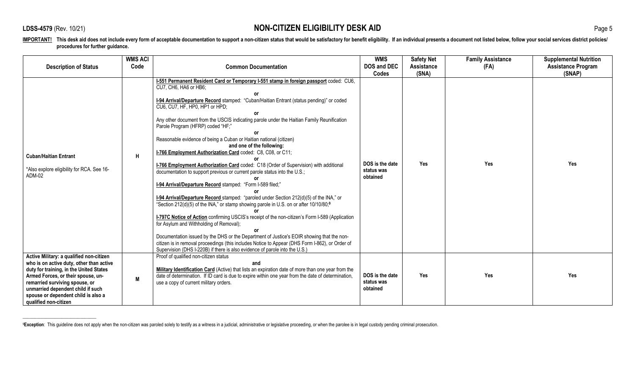\_\_\_\_\_\_\_\_\_\_\_\_\_\_\_\_\_\_\_\_\_\_\_\_\_\_\_\_\_\_\_\_

IMPORTANT! This desk aid does not include every form of acceptable documentation to support a non-citizen status that would be satisfactory for benefit eligibility. If an individual presents a document not listed below, fo **procedures for further guidance.**

|                                                                                                                                                                                                                                                                                                              | <b>WMS ACI</b> |                                                                                                                                                                                                                                                                                                                                                                                                                                                                                                                                                                                                                                                                                                                                                                                                                                                                                                                                                                                                                                                                                                                                                                                                                                                                                                                                                                                                                 | <b>WMS</b>                                | <b>Safety Net</b>   | <b>Family Assistance</b> | <b>Supplemental Nutrition</b>       |
|--------------------------------------------------------------------------------------------------------------------------------------------------------------------------------------------------------------------------------------------------------------------------------------------------------------|----------------|-----------------------------------------------------------------------------------------------------------------------------------------------------------------------------------------------------------------------------------------------------------------------------------------------------------------------------------------------------------------------------------------------------------------------------------------------------------------------------------------------------------------------------------------------------------------------------------------------------------------------------------------------------------------------------------------------------------------------------------------------------------------------------------------------------------------------------------------------------------------------------------------------------------------------------------------------------------------------------------------------------------------------------------------------------------------------------------------------------------------------------------------------------------------------------------------------------------------------------------------------------------------------------------------------------------------------------------------------------------------------------------------------------------------|-------------------------------------------|---------------------|--------------------------|-------------------------------------|
| <b>Description of Status</b>                                                                                                                                                                                                                                                                                 | Code           | <b>Common Documentation</b>                                                                                                                                                                                                                                                                                                                                                                                                                                                                                                                                                                                                                                                                                                                                                                                                                                                                                                                                                                                                                                                                                                                                                                                                                                                                                                                                                                                     | <b>DOS and DEC</b><br>Codes               | Assistance<br>(SNA) | (FA)                     | <b>Assistance Program</b><br>(SNAP) |
| <b>Cuban/Haitian Entrant</b><br>*Also explore eligibility for RCA. See 16-<br>ADM-02                                                                                                                                                                                                                         | $\mathsf{H}$   | I-551 Permanent Resident Card or Temporary I-551 stamp in foreign passport coded: CU6,<br>CU7, CH6, HA6 or HB6;<br>1-94 Arrival/Departure Record stamped: "Cuban/Haitian Entrant (status pending)" or coded<br>CU6, CU7, HF, HP0, HP1 or HPD;<br>Any other document from the USCIS indicating parole under the Haitian Family Reunification<br>Parole Program (HFRP) coded "HF;"<br>Reasonable evidence of being a Cuban or Haitian national (citizen)<br>and one of the following:<br>I-766 Employment Authorization Card coded: C8, C08, or C11;<br><b>I-766 Employment Authorization Card</b> coded: C18 (Order of Supervision) with additional<br>documentation to support previous or current parole status into the U.S.;<br>1-94 Arrival/Departure Record stamped: "Form I-589 filed;"<br>1-94 Arrival/Departure Record stamped: "paroled under Section 212(d)(5) of the INA," or<br>"Section 212(d)(5) of the INA," or stamp showing parole in U.S. on or after 10/10/80;9<br>I-797C Notice of Action confirming USCIS's receipt of the non-citizen's Form I-589 (Application<br>for Asylum and Withholding of Removal);<br>Documentation issued by the DHS or the Department of Justice's EOIR showing that the non-<br>citizen is in removal proceedings (this includes Notice to Appear (DHS Form I-862), or Order of<br>Supervision (DHS I-220B) if there is also evidence of parole into the U.S.) | DOS is the date<br>status was<br>obtained | Yes                 | Yes                      | Yes                                 |
| Active Military: a qualified non-citizen<br>who is on active duty, other than active<br>duty for training, in the United States<br>Armed Forces, or their spouse, un-<br>remarried surviving spouse, or<br>unmarried dependent child if such<br>spouse or dependent child is also a<br>qualified non-citizen | M              | Proof of qualified non-citizen status<br>and<br>Military Identification Card (Active) that lists an expiration date of more than one year from the<br>date of determination. If ID card is due to expire within one year from the date of determination,<br>use a copy of current military orders.                                                                                                                                                                                                                                                                                                                                                                                                                                                                                                                                                                                                                                                                                                                                                                                                                                                                                                                                                                                                                                                                                                              | DOS is the date<br>status was<br>obtained | Yes                 | <b>Yes</b>               | Yes                                 |

<sup>&</sup>lt;sup>9</sup>Exception: This guideline does not apply when the non-citizen was paroled solely to testify as a witness in a judicial, administrative or legislative proceeding, or when the parolee is in legal custody pending criminal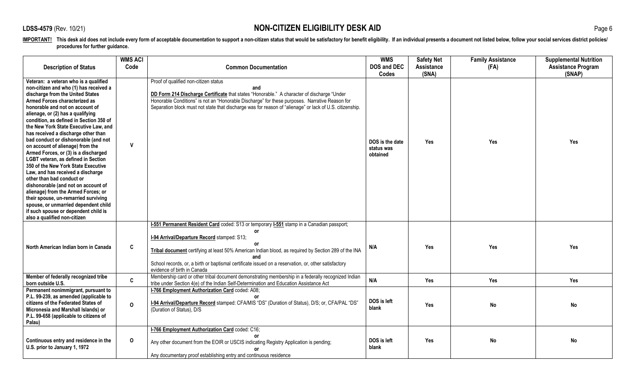| <b>Description of Status</b>                                                                                                                                                                                                                                                                                                                                                                                                                                                                                                                                                                                                                                                                                                                                                                                                                                             | <b>WMS ACI</b><br>Code | <b>Common Documentation</b>                                                                                                                                                                                                                                                                                                                                                                                | <b>WMS</b><br><b>DOS and DEC</b><br><b>Codes</b> | <b>Safety Net</b><br><b>Assistance</b><br>(SNA) | <b>Family Assistance</b><br>(FA) | <b>Supplemental Nutrition</b><br><b>Assistance Program</b><br>(SNAP) |
|--------------------------------------------------------------------------------------------------------------------------------------------------------------------------------------------------------------------------------------------------------------------------------------------------------------------------------------------------------------------------------------------------------------------------------------------------------------------------------------------------------------------------------------------------------------------------------------------------------------------------------------------------------------------------------------------------------------------------------------------------------------------------------------------------------------------------------------------------------------------------|------------------------|------------------------------------------------------------------------------------------------------------------------------------------------------------------------------------------------------------------------------------------------------------------------------------------------------------------------------------------------------------------------------------------------------------|--------------------------------------------------|-------------------------------------------------|----------------------------------|----------------------------------------------------------------------|
| Veteran: a veteran who is a qualified<br>non-citizen and who (1) has received a<br>discharge from the United States<br>Armed Forces characterized as<br>honorable and not on account of<br>alienage, or (2) has a qualifying<br>condition, as defined in Section 350 of<br>the New York State Executive Law, and<br>has received a discharge other than<br>bad conduct or dishonorable (and not<br>on account of alienage) from the<br>Armed Forces, or (3) is a discharged<br><b>LGBT veteran, as defined in Section</b><br>350 of the New York State Executive<br>Law, and has received a discharge<br>other than bad conduct or<br>dishonorable (and not on account of<br>alienage) from the Armed Forces; or<br>their spouse, un-remarried surviving<br>spouse, or unmarried dependent child<br>if such spouse or dependent child is<br>also a qualified non-citizen | $\mathbf{v}$           | Proof of qualified non-citizen status<br>and<br>DD Form 214 Discharge Certificate that states "Honorable." A character of discharge "Under<br>Honorable Conditions" is not an "Honorable Discharge" for these purposes. Narrative Reason for<br>Separation block must not state that discharge was for reason of "alienage" or lack of U.S. citizenship.                                                   | DOS is the date<br>status was<br>obtained        | Yes                                             | Yes                              | Yes                                                                  |
| North American Indian born in Canada                                                                                                                                                                                                                                                                                                                                                                                                                                                                                                                                                                                                                                                                                                                                                                                                                                     | C                      | I-551 Permanent Resident Card coded: S13 or temporary I-551 stamp in a Canadian passport;<br>or<br>I-94 Arrival/Departure Record stamped: S13;<br>or<br>Tribal document certifying at least 50% American Indian blood, as required by Section 289 of the INA<br>and<br>School records, or, a birth or baptismal certificate issued on a reservation, or, other satisfactory<br>evidence of birth in Canada | N/A                                              | Yes                                             | <b>Yes</b>                       | <b>Yes</b>                                                           |
| Member of federally recognized tribe<br>born outside U.S.                                                                                                                                                                                                                                                                                                                                                                                                                                                                                                                                                                                                                                                                                                                                                                                                                | $\mathbf{C}$           | Membership card or other tribal document demonstrating membership in a federally recognized Indian<br>tribe under Section 4(e) of the Indian Self-Determination and Education Assistance Act                                                                                                                                                                                                               | N/A                                              | Yes                                             | Yes                              | Yes                                                                  |
| Permanent nonimmigrant, pursuant to<br>P.L. 99-239, as amended (applicable to<br>citizens of the Federated States of<br>Micronesia and Marshall Islands) or<br>P.L. 99-658 (applicable to citizens of<br>Palau)                                                                                                                                                                                                                                                                                                                                                                                                                                                                                                                                                                                                                                                          | $\Omega$               | I-766 Employment Authorization Card coded: A08;<br>I-94 Arrival/Departure Record stamped: CFA/MIS "DS" (Duration of Status), D/S; or, CFA/PAL "DS"<br>(Duration of Status), D/S                                                                                                                                                                                                                            | DOS is left<br>blank                             | Yes                                             | <b>No</b>                        | No                                                                   |
| Continuous entry and residence in the<br>U.S. prior to January 1, 1972                                                                                                                                                                                                                                                                                                                                                                                                                                                                                                                                                                                                                                                                                                                                                                                                   | $\mathbf 0$            | I-766 Employment Authorization Card coded: C16;<br>Any other document from the EOIR or USCIS indicating Registry Application is pending;<br>Any documentary proof establishing entry and continuous residence                                                                                                                                                                                              | DOS is left<br>blank                             | Yes                                             | <b>No</b>                        | No                                                                   |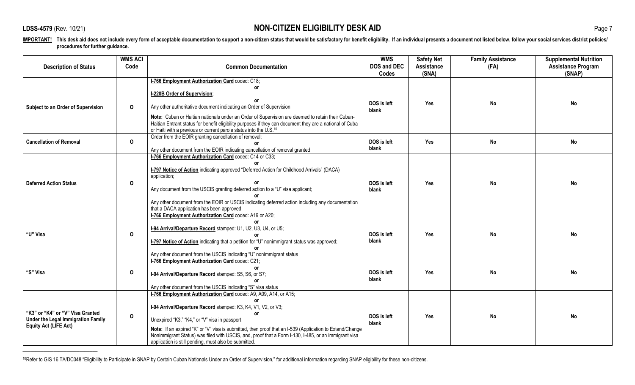\_\_\_\_\_\_\_\_\_\_\_\_\_\_\_\_\_\_\_\_\_\_\_\_\_\_\_\_\_

IMPORTANT! This desk aid does not include every form of acceptable documentation to support a non-citizen status that would be satisfactory for benefit eligibility. If an individual presents a document not listed below, fo **procedures for further guidance.**

|                                                                                                        | <b>WMS ACI</b> |                                                                                                                                                                                                                                                                                                                                                                                                          | <b>WMS</b>           | <b>Safety Net</b> | <b>Family Assistance</b> | <b>Supplemental Nutrition</b> |
|--------------------------------------------------------------------------------------------------------|----------------|----------------------------------------------------------------------------------------------------------------------------------------------------------------------------------------------------------------------------------------------------------------------------------------------------------------------------------------------------------------------------------------------------------|----------------------|-------------------|--------------------------|-------------------------------|
| <b>Description of Status</b>                                                                           | Code           | <b>Common Documentation</b>                                                                                                                                                                                                                                                                                                                                                                              | <b>DOS and DEC</b>   | Assistance        | (FA)                     | <b>Assistance Program</b>     |
|                                                                                                        |                |                                                                                                                                                                                                                                                                                                                                                                                                          | Codes                | (SNA)             |                          | (SNAP)                        |
|                                                                                                        |                | I-766 Employment Authorization Card coded: C18;                                                                                                                                                                                                                                                                                                                                                          |                      |                   |                          |                               |
|                                                                                                        |                | 0r                                                                                                                                                                                                                                                                                                                                                                                                       |                      |                   |                          |                               |
|                                                                                                        |                | I-220B Order of Supervision;                                                                                                                                                                                                                                                                                                                                                                             |                      |                   |                          |                               |
| Subject to an Order of Supervision                                                                     | $\mathbf{o}$   | Any other authoritative document indicating an Order of Supervision                                                                                                                                                                                                                                                                                                                                      | DOS is left<br>blank | Yes               | <b>No</b>                | No                            |
|                                                                                                        |                | Note: Cuban or Haitian nationals under an Order of Supervision are deemed to retain their Cuban-<br>Haitian Entrant status for benefit eligibility purposes if they can document they are a national of Cuba<br>or Haiti with a previous or current parole status into the U.S. <sup>10</sup>                                                                                                            |                      |                   |                          |                               |
|                                                                                                        |                | Order from the EOIR granting cancellation of removal;                                                                                                                                                                                                                                                                                                                                                    |                      |                   |                          |                               |
| <b>Cancellation of Removal</b>                                                                         | $\mathbf 0$    |                                                                                                                                                                                                                                                                                                                                                                                                          | DOS is left<br>blank | Yes               | <b>No</b>                | <b>No</b>                     |
|                                                                                                        |                | Any other document from the EOIR indicating cancellation of removal granted                                                                                                                                                                                                                                                                                                                              |                      |                   |                          |                               |
| <b>Deferred Action Status</b>                                                                          | $\mathbf 0$    | I-766 Employment Authorization Card coded: C14 or C33;<br><b>I-797 Notice of Action</b> indicating approved "Deferred Action for Childhood Arrivals" (DACA)<br>application;<br>Any document from the USCIS granting deferred action to a "U" visa applicant;<br>Any other document from the EOIR or USCIS indicating deferred action including any documentation                                         | DOS is left<br>blank | Yes               | No                       | No                            |
|                                                                                                        |                | that a DACA application has been approved                                                                                                                                                                                                                                                                                                                                                                |                      |                   |                          |                               |
| "U" Visa                                                                                               | 0              | I-766 Employment Authorization Card coded: A19 or A20;<br>I-94 Arrival/Departure Record stamped: U1, U2, U3, U4, or U5;<br>I-797 Notice of Action indicating that a petition for "U" nonimmigrant status was approved;<br>Any other document from the USCIS indicating "U" nonimmigrant status                                                                                                           | DOS is left<br>blank | Yes               | No                       | <b>No</b>                     |
|                                                                                                        |                | I-766 Employment Authorization Card coded: C21;                                                                                                                                                                                                                                                                                                                                                          |                      |                   |                          |                               |
| "S" Visa                                                                                               | $\mathbf 0$    | I-94 Arrival/Departure Record stamped: S5, S6, or S7;<br>Any other document from the USCIS indicating "S" visa status                                                                                                                                                                                                                                                                                    | DOS is left<br>blank | Yes               | <b>No</b>                | No                            |
|                                                                                                        |                | I-766 Employment Authorization Card coded: A9, A09, A14, or A15;                                                                                                                                                                                                                                                                                                                                         |                      |                   |                          |                               |
| "K3" or "K4" or "V" Visa Granted<br>Under the Legal Immigration Family<br><b>Equity Act (LIFE Act)</b> | $\mathbf 0$    | I-94 Arrival/Departure Record stamped: K3, K4, V1, V2, or V3;<br><b>or</b><br>Unexpired "K3," "K4," or "V" visa in passport<br>Note: If an expired "K" or "V" visa is submitted, then proof that an I-539 (Application to Extend/Change<br>Nonimmigrant Status) was filed with USCIS, and, proof that a Form I-130, I-485, or an immigrant visa<br>application is still pending, must also be submitted. | DOS is left<br>blank | Yes               | <b>No</b>                | No                            |

10Refer to GIS 16 TA/DC048 "Eligibility to Participate in SNAP by Certain Cuban Nationals Under an Order of Supervision," for additional information regarding SNAP eligibility for these non-citizens.